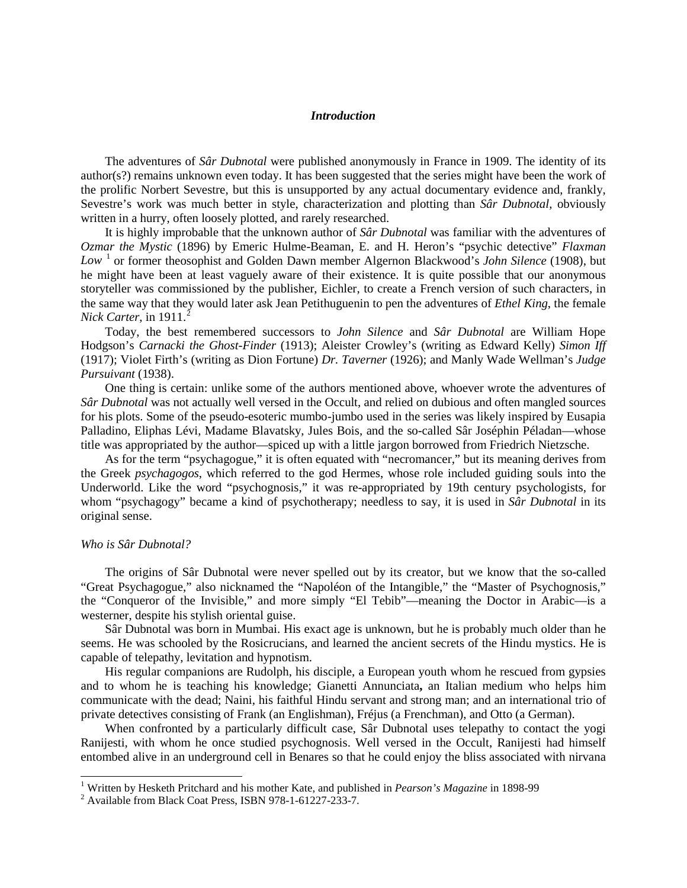#### *Introduction*

The adventures of *Sâr Dubnotal* were published anonymously in France in 1909. The identity of its author(s?) remains unknown even today. It has been suggested that the series might have been the work of the prolific Norbert Sevestre, but this is unsupported by any actual documentary evidence and, frankly, Sevestre's work was much better in style, characterization and plotting than *Sâr Dubnotal*, obviously written in a hurry, often loosely plotted, and rarely researched.

It is highly improbable that the unknown author of *Sâr Dubnotal* was familiar with the adventures of *Ozmar the Mystic* (1896) by Emeric Hulme-Beaman, E. and H. Heron's "psychic detective" *Flaxman*  Low<sup>[1](#page-0-0)</sup> or former theosophist and Golden Dawn member Algernon Blackwood's *John Silence* (1908), but he might have been at least vaguely aware of their existence. It is quite possible that our anonymous storyteller was commissioned by the publisher, Eichler, to create a French version of such characters, in the same way that they would later ask Jean Petithuguenin to pen the adventures of *Ethel King*, the female *Nick Carter*, in 1911.<sup>[2](#page-0-1)</sup>

Today, the best remembered successors to *John Silence* and *Sâr Dubnotal* are William Hope Hodgson's *Carnacki the Ghost-Finder* (1913); Aleister Crowley's (writing as Edward Kelly) *Simon Iff* (1917); Violet Firth's (writing as Dion Fortune) *Dr. Taverner* (1926); and Manly Wade Wellman's *Judge Pursuivant* (1938).

One thing is certain: unlike some of the authors mentioned above, whoever wrote the adventures of *Sâr Dubnotal* was not actually well versed in the Occult, and relied on dubious and often mangled sources for his plots. Some of the pseudo-esoteric mumbo-jumbo used in the series was likely inspired by Eusapia Palladino, Eliphas Lévi, Madame Blavatsky, Jules Bois, and the so-called Sâr Joséphin Péladan—whose title was appropriated by the author—spiced up with a little jargon borrowed from Friedrich Nietzsche.

As for the term "psychagogue," it is often equated with "necromancer," but its meaning derives from the Greek *psychagogos*, which referred to the god Hermes, whose role included guiding souls into the Underworld. Like the word "psychognosis," it was re-appropriated by 19th century psychologists, for whom "psychagogy" became a kind of psychotherapy; needless to say, it is used in *Sâr Dubnotal* in its original sense.

### *Who is Sâr Dubnotal?*

The origins of Sâr Dubnotal were never spelled out by its creator, but we know that the so-called "Great Psychagogue," also nicknamed the "Napoléon of the Intangible," the "Master of Psychognosis," the "Conqueror of the Invisible," and more simply "El Tebib"—meaning the Doctor in Arabic—is a westerner, despite his stylish oriental guise.

Sâr Dubnotal was born in Mumbai. His exact age is unknown, but he is probably much older than he seems. He was schooled by the Rosicrucians, and learned the ancient secrets of the Hindu mystics. He is capable of telepathy, levitation and hypnotism.

His regular companions are Rudolph, his disciple, a European youth whom he rescued from gypsies and to whom he is teaching his knowledge; Gianetti Annunciata**,** an Italian medium who helps him communicate with the dead; Naini, his faithful Hindu servant and strong man; and an international trio of private detectives consisting of Frank (an Englishman), Fréjus (a Frenchman), and Otto (a German).

When confronted by a particularly difficult case, Sâr Dubnotal uses telepathy to contact the yogi Ranijesti, with whom he once studied psychognosis. Well versed in the Occult, Ranijesti had himself entombed alive in an underground cell in Benares so that he could enjoy the bliss associated with nirvana

<span id="page-0-0"></span><sup>&</sup>lt;sup>1</sup> Written by Hesketh Pritchard and his mother Kate, and published in *Pearson's Magazine* in 1898-99<sup>2</sup> Available from Black Coat Press, ISBN 978-1-61227-233-7.

<span id="page-0-1"></span>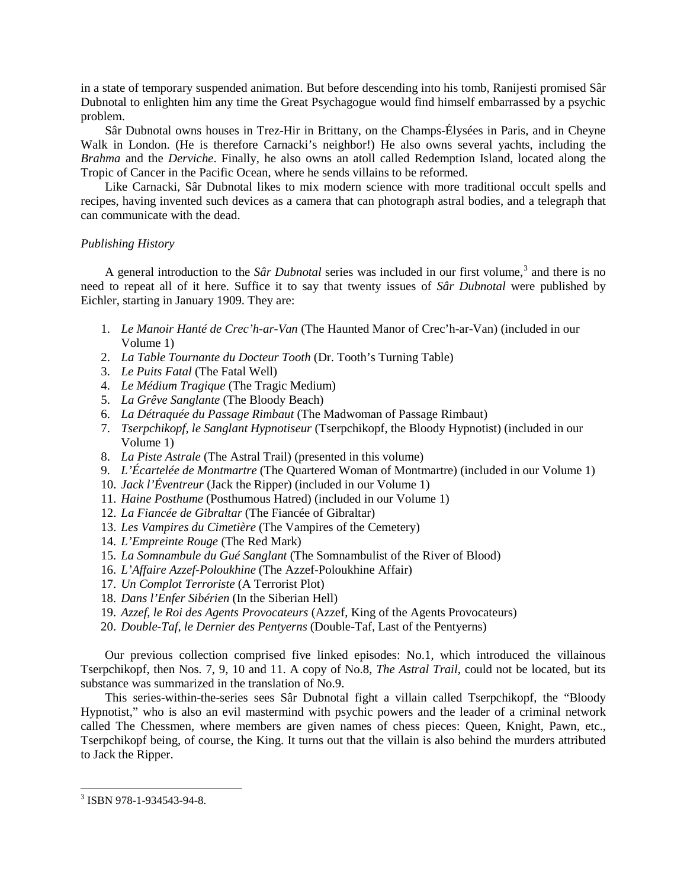in a state of temporary suspended animation. But before descending into his tomb, Ranijesti promised Sâr Dubnotal to enlighten him any time the Great Psychagogue would find himself embarrassed by a psychic problem.

Sâr Dubnotal owns houses in Trez-Hir in Brittany, on the Champs-Élysées in Paris, and in Cheyne Walk in London. (He is therefore Carnacki's neighbor!) He also owns several yachts, including the *Brahma* and the *Derviche*. Finally, he also owns an atoll called Redemption Island, located along the Tropic of Cancer in the Pacific Ocean, where he sends villains to be reformed.

Like Carnacki, Sâr Dubnotal likes to mix modern science with more traditional occult spells and recipes, having invented such devices as a camera that can photograph astral bodies, and a telegraph that can communicate with the dead.

# *Publishing History*

A general introduction to the *Sâr Dubnotal* series was included in our first volume,[3](#page-1-0) and there is no need to repeat all of it here. Suffice it to say that twenty issues of *Sâr Dubnotal* were published by Eichler, starting in January 1909. They are:

- 1. *Le Manoir Hanté de Crec'h-ar-Van* (The Haunted Manor of Crec'h-ar-Van) (included in our Volume 1)
- 2. *La Table Tournante du Docteur Tooth* (Dr. Tooth's Turning Table)
- 3. *Le Puits Fatal* (The Fatal Well)
- 4. *Le Médium Tragique* (The Tragic Medium)
- 5. *La Grêve Sanglante* (The Bloody Beach)
- 6. *La Détraquée du Passage Rimbaut* (The Madwoman of Passage Rimbaut)
- 7. *Tserpchikopf, le Sanglant Hypnotiseur* (Tserpchikopf, the Bloody Hypnotist) (included in our Volume 1)
- 8. *La Piste Astrale* (The Astral Trail) (presented in this volume)
- 9. *L'Écartelée de Montmartre* (The Quartered Woman of Montmartre) (included in our Volume 1)
- 10. *Jack l'Éventreur* (Jack the Ripper) (included in our Volume 1)
- 11. *Haine Posthume* (Posthumous Hatred) (included in our Volume 1)
- 12. *La Fiancée de Gibraltar* (The Fiancée of Gibraltar)
- 13. *Les Vampires du Cimetière* (The Vampires of the Cemetery)
- 14. *L'Empreinte Rouge* (The Red Mark)
- 15. *La Somnambule du Gué Sanglant* (The Somnambulist of the River of Blood)
- 16. *L'Affaire Azzef-Poloukhine* (The Azzef-Poloukhine Affair)
- 17. *Un Complot Terroriste* (A Terrorist Plot)
- 18. *Dans l'Enfer Sibérien* (In the Siberian Hell)
- 19. *Azzef, le Roi des Agents Provocateurs* (Azzef, King of the Agents Provocateurs)
- 20. *Double-Taf, le Dernier des Pentyerns* (Double-Taf, Last of the Pentyerns)

Our previous collection comprised five linked episodes: No.1, which introduced the villainous Tserpchikopf, then Nos. 7, 9, 10 and 11. A copy of No.8, *The Astral Trail*, could not be located, but its substance was summarized in the translation of No.9.

This series-within-the-series sees Sâr Dubnotal fight a villain called Tserpchikopf, the "Bloody Hypnotist," who is also an evil mastermind with psychic powers and the leader of a criminal network called The Chessmen, where members are given names of chess pieces: Queen, Knight, Pawn, etc., Tserpchikopf being, of course, the King. It turns out that the villain is also behind the murders attributed to Jack the Ripper.

<span id="page-1-0"></span> <sup>3</sup> ISBN 978-1-934543-94-8.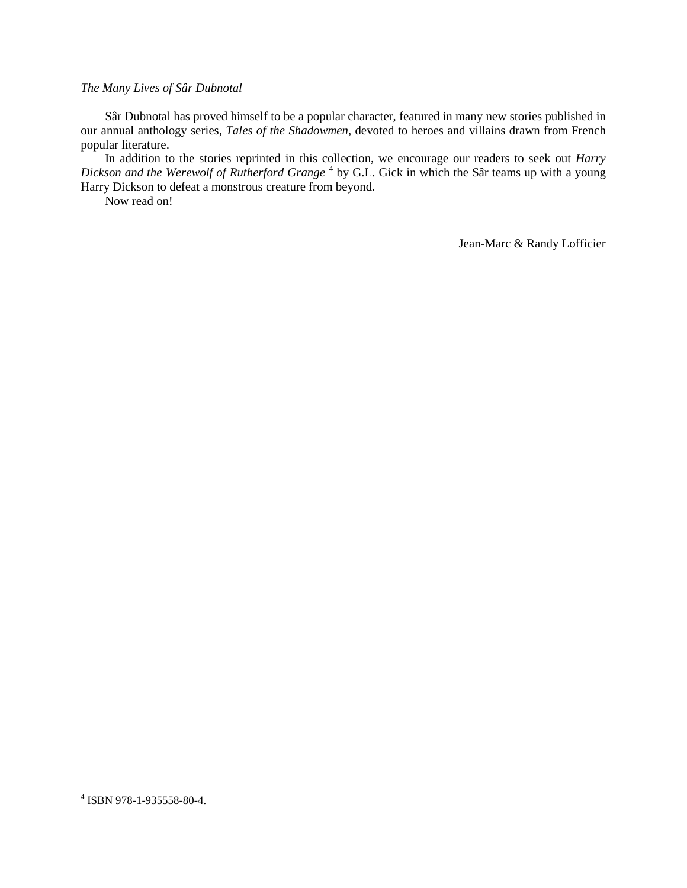# *The Many Lives of Sâr Dubnotal*

Sâr Dubnotal has proved himself to be a popular character, featured in many new stories published in our annual anthology series, *Tales of the Shadowmen*, devoted to heroes and villains drawn from French popular literature.

In addition to the stories reprinted in this collection, we encourage our readers to seek out *Harry*  Dickson and the Werewolf of Rutherford Grange<sup>[4](#page-2-0)</sup> by G.L. Gick in which the Sâr teams up with a young Harry Dickson to defeat a monstrous creature from beyond.

Now read on!

Jean-Marc & Randy Lofficier

<span id="page-2-0"></span> <sup>4</sup> ISBN 978-1-935558-80-4.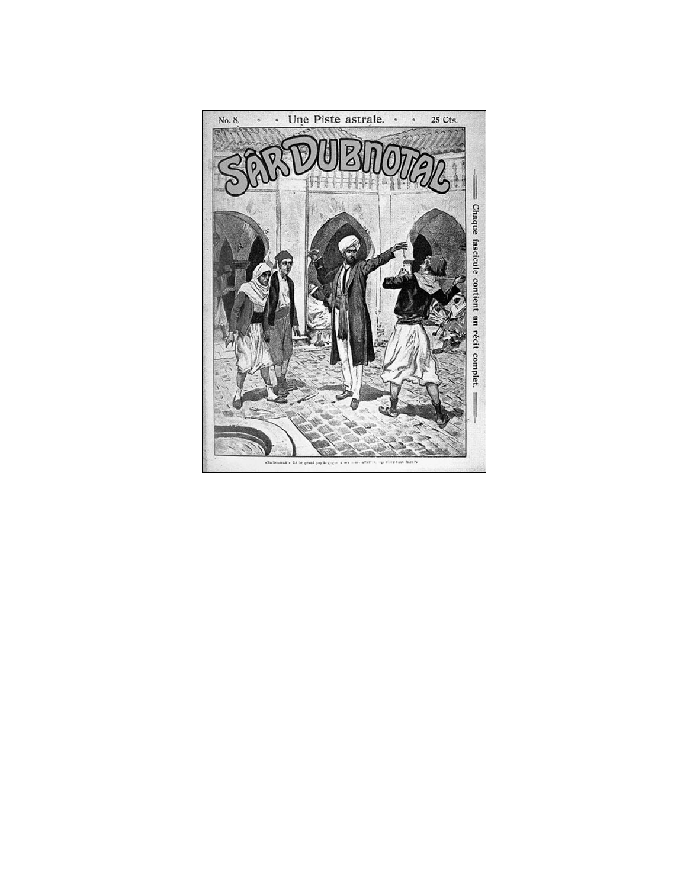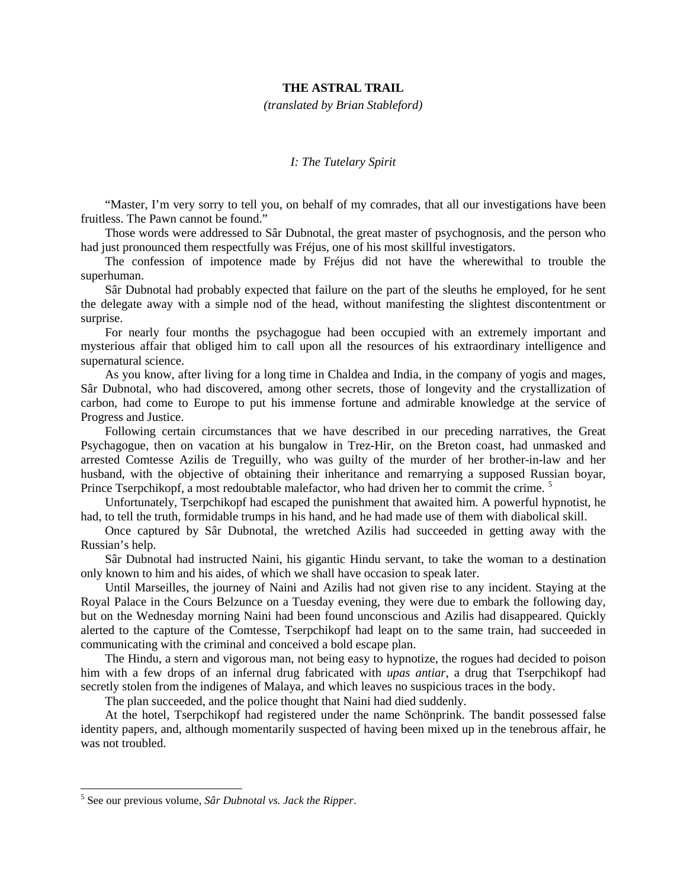# **THE ASTRAL TRAIL**

*(translated by Brian Stableford)*

### *I: The Tutelary Spirit*

"Master, I'm very sorry to tell you, on behalf of my comrades, that all our investigations have been fruitless. The Pawn cannot be found."

Those words were addressed to Sâr Dubnotal, the great master of psychognosis, and the person who had just pronounced them respectfully was Fréjus, one of his most skillful investigators.

The confession of impotence made by Fréjus did not have the wherewithal to trouble the superhuman.

Sâr Dubnotal had probably expected that failure on the part of the sleuths he employed, for he sent the delegate away with a simple nod of the head, without manifesting the slightest discontentment or surprise.

For nearly four months the psychagogue had been occupied with an extremely important and mysterious affair that obliged him to call upon all the resources of his extraordinary intelligence and supernatural science.

As you know, after living for a long time in Chaldea and India, in the company of yogis and mages, Sâr Dubnotal, who had discovered, among other secrets, those of longevity and the crystallization of carbon, had come to Europe to put his immense fortune and admirable knowledge at the service of Progress and Justice.

Following certain circumstances that we have described in our preceding narratives, the Great Psychagogue, then on vacation at his bungalow in Trez-Hir, on the Breton coast, had unmasked and arrested Comtesse Azilis de Treguilly, who was guilty of the murder of her brother-in-law and her husband, with the objective of obtaining their inheritance and remarrying a supposed Russian boyar, Prince Tserpchikopf, a most redoubtable malefactor, who had driven her to commit the crime.<sup>[5](#page-4-0)</sup>

Unfortunately, Tserpchikopf had escaped the punishment that awaited him. A powerful hypnotist, he had, to tell the truth, formidable trumps in his hand, and he had made use of them with diabolical skill.

Once captured by Sâr Dubnotal, the wretched Azilis had succeeded in getting away with the Russian's help.

Sâr Dubnotal had instructed Naini, his gigantic Hindu servant, to take the woman to a destination only known to him and his aides, of which we shall have occasion to speak later.

Until Marseilles, the journey of Naini and Azilis had not given rise to any incident. Staying at the Royal Palace in the Cours Belzunce on a Tuesday evening, they were due to embark the following day, but on the Wednesday morning Naini had been found unconscious and Azilis had disappeared. Quickly alerted to the capture of the Comtesse, Tserpchikopf had leapt on to the same train, had succeeded in communicating with the criminal and conceived a bold escape plan.

The Hindu, a stern and vigorous man, not being easy to hypnotize, the rogues had decided to poison him with a few drops of an infernal drug fabricated with *upas antiar*, a drug that Tserpchikopf had secretly stolen from the indigenes of Malaya, and which leaves no suspicious traces in the body.

The plan succeeded, and the police thought that Naini had died suddenly.

At the hotel, Tserpchikopf had registered under the name Schönprink. The bandit possessed false identity papers, and, although momentarily suspected of having been mixed up in the tenebrous affair, he was not troubled.

<span id="page-4-0"></span> <sup>5</sup> See our previous volume, *Sâr Dubnotal vs. Jack the Ripper*.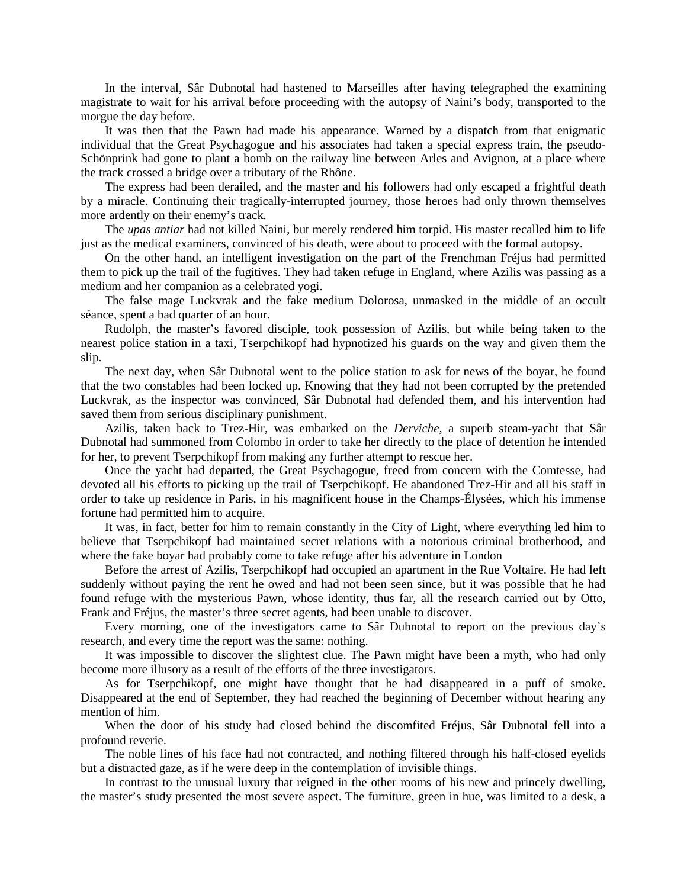In the interval, Sâr Dubnotal had hastened to Marseilles after having telegraphed the examining magistrate to wait for his arrival before proceeding with the autopsy of Naini's body, transported to the morgue the day before.

It was then that the Pawn had made his appearance. Warned by a dispatch from that enigmatic individual that the Great Psychagogue and his associates had taken a special express train, the pseudo-Schönprink had gone to plant a bomb on the railway line between Arles and Avignon, at a place where the track crossed a bridge over a tributary of the Rhône.

The express had been derailed, and the master and his followers had only escaped a frightful death by a miracle. Continuing their tragically-interrupted journey, those heroes had only thrown themselves more ardently on their enemy's track.

The *upas antiar* had not killed Naini, but merely rendered him torpid. His master recalled him to life just as the medical examiners, convinced of his death, were about to proceed with the formal autopsy.

On the other hand, an intelligent investigation on the part of the Frenchman Fréjus had permitted them to pick up the trail of the fugitives. They had taken refuge in England, where Azilis was passing as a medium and her companion as a celebrated yogi.

The false mage Luckvrak and the fake medium Dolorosa, unmasked in the middle of an occult séance, spent a bad quarter of an hour.

Rudolph, the master's favored disciple, took possession of Azilis, but while being taken to the nearest police station in a taxi, Tserpchikopf had hypnotized his guards on the way and given them the slip.

The next day, when Sâr Dubnotal went to the police station to ask for news of the boyar, he found that the two constables had been locked up. Knowing that they had not been corrupted by the pretended Luckvrak, as the inspector was convinced, Sâr Dubnotal had defended them, and his intervention had saved them from serious disciplinary punishment.

Azilis, taken back to Trez-Hir, was embarked on the *Derviche*, a superb steam-yacht that Sâr Dubnotal had summoned from Colombo in order to take her directly to the place of detention he intended for her, to prevent Tserpchikopf from making any further attempt to rescue her.

Once the yacht had departed, the Great Psychagogue, freed from concern with the Comtesse, had devoted all his efforts to picking up the trail of Tserpchikopf. He abandoned Trez-Hir and all his staff in order to take up residence in Paris, in his magnificent house in the Champs-Élysées, which his immense fortune had permitted him to acquire.

It was, in fact, better for him to remain constantly in the City of Light, where everything led him to believe that Tserpchikopf had maintained secret relations with a notorious criminal brotherhood, and where the fake boyar had probably come to take refuge after his adventure in London

Before the arrest of Azilis, Tserpchikopf had occupied an apartment in the Rue Voltaire. He had left suddenly without paying the rent he owed and had not been seen since, but it was possible that he had found refuge with the mysterious Pawn, whose identity, thus far, all the research carried out by Otto, Frank and Fréjus, the master's three secret agents, had been unable to discover.

Every morning, one of the investigators came to Sâr Dubnotal to report on the previous day's research, and every time the report was the same: nothing.

It was impossible to discover the slightest clue. The Pawn might have been a myth, who had only become more illusory as a result of the efforts of the three investigators.

As for Tserpchikopf, one might have thought that he had disappeared in a puff of smoke. Disappeared at the end of September, they had reached the beginning of December without hearing any mention of him.

When the door of his study had closed behind the discomfited Fréjus, Sâr Dubnotal fell into a profound reverie.

The noble lines of his face had not contracted, and nothing filtered through his half-closed eyelids but a distracted gaze, as if he were deep in the contemplation of invisible things.

In contrast to the unusual luxury that reigned in the other rooms of his new and princely dwelling, the master's study presented the most severe aspect. The furniture, green in hue, was limited to a desk, a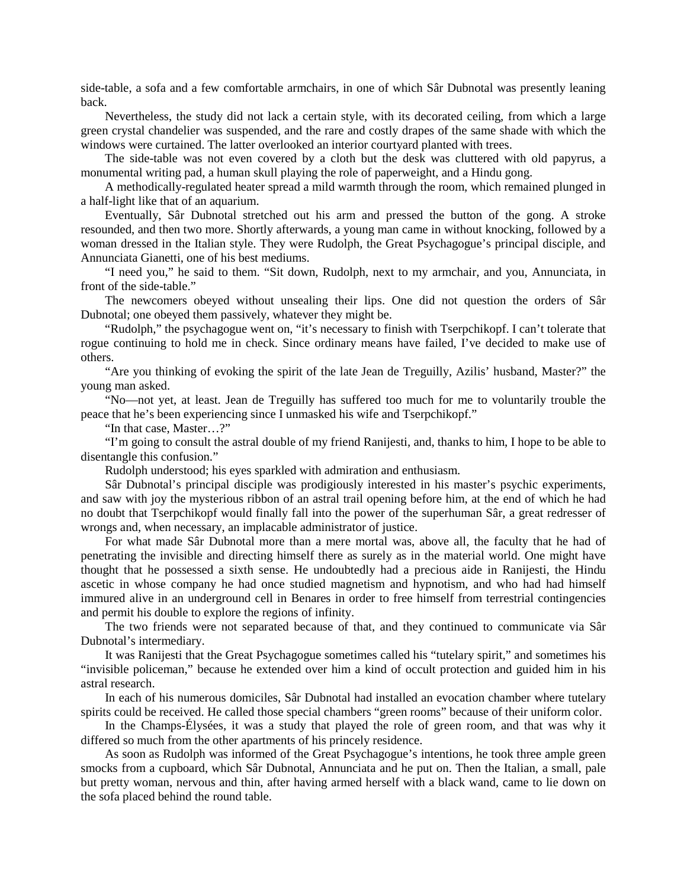side-table, a sofa and a few comfortable armchairs, in one of which Sâr Dubnotal was presently leaning back.

Nevertheless, the study did not lack a certain style, with its decorated ceiling, from which a large green crystal chandelier was suspended, and the rare and costly drapes of the same shade with which the windows were curtained. The latter overlooked an interior courtyard planted with trees.

The side-table was not even covered by a cloth but the desk was cluttered with old papyrus, a monumental writing pad, a human skull playing the role of paperweight, and a Hindu gong.

A methodically-regulated heater spread a mild warmth through the room, which remained plunged in a half-light like that of an aquarium.

Eventually, Sâr Dubnotal stretched out his arm and pressed the button of the gong. A stroke resounded, and then two more. Shortly afterwards, a young man came in without knocking, followed by a woman dressed in the Italian style. They were Rudolph, the Great Psychagogue's principal disciple, and Annunciata Gianetti, one of his best mediums.

"I need you," he said to them. "Sit down, Rudolph, next to my armchair, and you, Annunciata, in front of the side-table."

The newcomers obeyed without unsealing their lips. One did not question the orders of Sâr Dubnotal; one obeyed them passively, whatever they might be.

"Rudolph," the psychagogue went on, "it's necessary to finish with Tserpchikopf. I can't tolerate that rogue continuing to hold me in check. Since ordinary means have failed, I've decided to make use of others.

"Are you thinking of evoking the spirit of the late Jean de Treguilly, Azilis' husband, Master?" the young man asked.

"No—not yet, at least. Jean de Treguilly has suffered too much for me to voluntarily trouble the peace that he's been experiencing since I unmasked his wife and Tserpchikopf."

"In that case, Master…?"

"I'm going to consult the astral double of my friend Ranijesti, and, thanks to him, I hope to be able to disentangle this confusion."

Rudolph understood; his eyes sparkled with admiration and enthusiasm.

Sâr Dubnotal's principal disciple was prodigiously interested in his master's psychic experiments, and saw with joy the mysterious ribbon of an astral trail opening before him, at the end of which he had no doubt that Tserpchikopf would finally fall into the power of the superhuman Sâr, a great redresser of wrongs and, when necessary, an implacable administrator of justice.

For what made Sâr Dubnotal more than a mere mortal was, above all, the faculty that he had of penetrating the invisible and directing himself there as surely as in the material world. One might have thought that he possessed a sixth sense. He undoubtedly had a precious aide in Ranijesti, the Hindu ascetic in whose company he had once studied magnetism and hypnotism, and who had had himself immured alive in an underground cell in Benares in order to free himself from terrestrial contingencies and permit his double to explore the regions of infinity.

The two friends were not separated because of that, and they continued to communicate via Sâr Dubnotal's intermediary.

It was Ranijesti that the Great Psychagogue sometimes called his "tutelary spirit," and sometimes his "invisible policeman," because he extended over him a kind of occult protection and guided him in his astral research.

In each of his numerous domiciles, Sâr Dubnotal had installed an evocation chamber where tutelary spirits could be received. He called those special chambers "green rooms" because of their uniform color.

In the Champs-Élysées, it was a study that played the role of green room, and that was why it differed so much from the other apartments of his princely residence.

As soon as Rudolph was informed of the Great Psychagogue's intentions, he took three ample green smocks from a cupboard, which Sâr Dubnotal, Annunciata and he put on. Then the Italian, a small, pale but pretty woman, nervous and thin, after having armed herself with a black wand, came to lie down on the sofa placed behind the round table.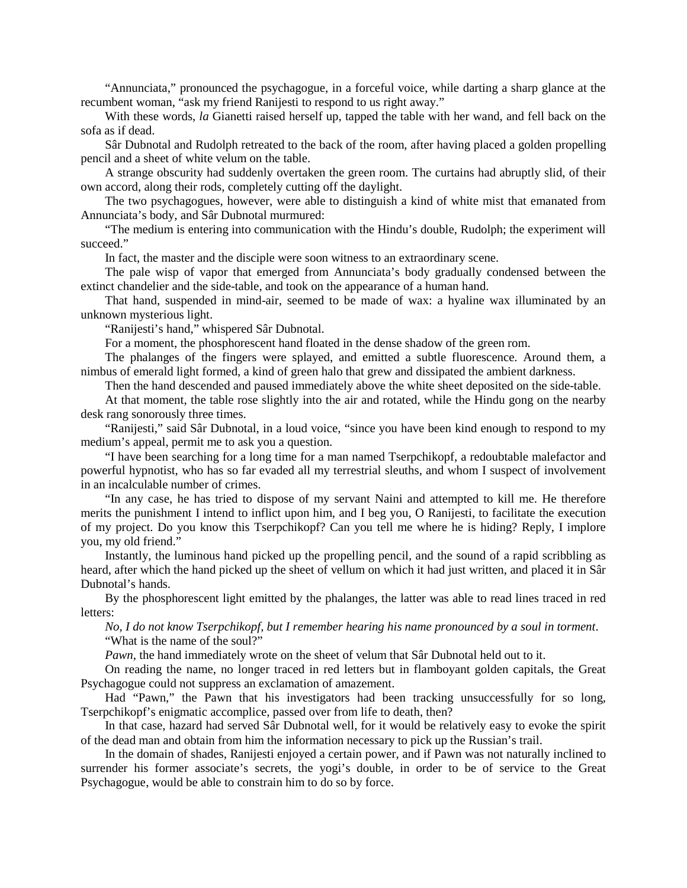"Annunciata," pronounced the psychagogue, in a forceful voice, while darting a sharp glance at the recumbent woman, "ask my friend Ranijesti to respond to us right away."

With these words, *la* Gianetti raised herself up, tapped the table with her wand, and fell back on the sofa as if dead.

Sâr Dubnotal and Rudolph retreated to the back of the room, after having placed a golden propelling pencil and a sheet of white velum on the table.

A strange obscurity had suddenly overtaken the green room. The curtains had abruptly slid, of their own accord, along their rods, completely cutting off the daylight.

The two psychagogues, however, were able to distinguish a kind of white mist that emanated from Annunciata's body, and Sâr Dubnotal murmured:

"The medium is entering into communication with the Hindu's double, Rudolph; the experiment will succeed."

In fact, the master and the disciple were soon witness to an extraordinary scene.

The pale wisp of vapor that emerged from Annunciata's body gradually condensed between the extinct chandelier and the side-table, and took on the appearance of a human hand.

That hand, suspended in mind-air, seemed to be made of wax: a hyaline wax illuminated by an unknown mysterious light.

"Ranijesti's hand," whispered Sâr Dubnotal.

For a moment, the phosphorescent hand floated in the dense shadow of the green rom.

The phalanges of the fingers were splayed, and emitted a subtle fluorescence. Around them, a nimbus of emerald light formed, a kind of green halo that grew and dissipated the ambient darkness.

Then the hand descended and paused immediately above the white sheet deposited on the side-table.

At that moment, the table rose slightly into the air and rotated, while the Hindu gong on the nearby desk rang sonorously three times.

"Ranijesti," said Sâr Dubnotal, in a loud voice, "since you have been kind enough to respond to my medium's appeal, permit me to ask you a question.

"I have been searching for a long time for a man named Tserpchikopf, a redoubtable malefactor and powerful hypnotist, who has so far evaded all my terrestrial sleuths, and whom I suspect of involvement in an incalculable number of crimes.

"In any case, he has tried to dispose of my servant Naini and attempted to kill me. He therefore merits the punishment I intend to inflict upon him, and I beg you, O Ranijesti, to facilitate the execution of my project. Do you know this Tserpchikopf? Can you tell me where he is hiding? Reply, I implore you, my old friend."

Instantly, the luminous hand picked up the propelling pencil, and the sound of a rapid scribbling as heard, after which the hand picked up the sheet of vellum on which it had just written, and placed it in Sâr Dubnotal's hands.

By the phosphorescent light emitted by the phalanges, the latter was able to read lines traced in red letters:

*No, I do not know Tserpchikopf, but I remember hearing his name pronounced by a soul in torment*. "What is the name of the soul?"

*Pawn*, the hand immediately wrote on the sheet of velum that Sâr Dubnotal held out to it.

On reading the name, no longer traced in red letters but in flamboyant golden capitals, the Great Psychagogue could not suppress an exclamation of amazement.

Had "Pawn," the Pawn that his investigators had been tracking unsuccessfully for so long, Tserpchikopf's enigmatic accomplice, passed over from life to death, then?

In that case, hazard had served Sâr Dubnotal well, for it would be relatively easy to evoke the spirit of the dead man and obtain from him the information necessary to pick up the Russian's trail.

In the domain of shades, Ranijesti enjoyed a certain power, and if Pawn was not naturally inclined to surrender his former associate's secrets, the yogi's double, in order to be of service to the Great Psychagogue, would be able to constrain him to do so by force.